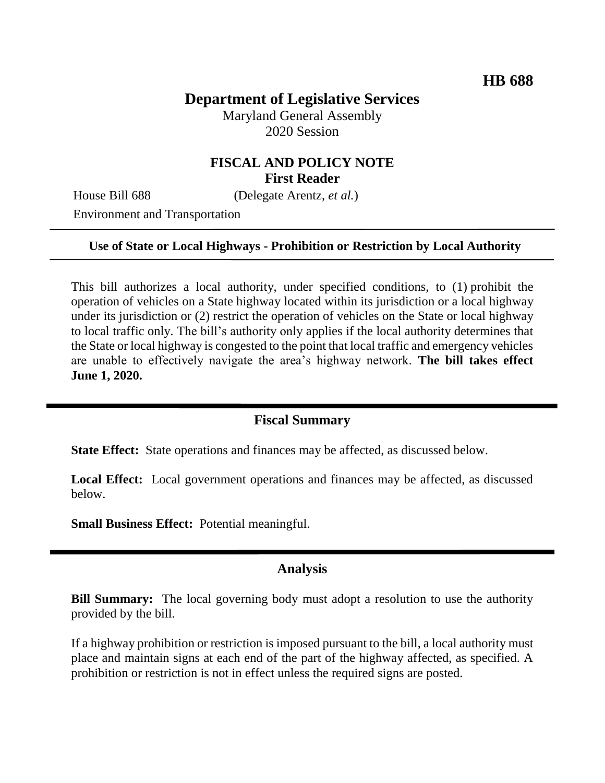# **Department of Legislative Services**

Maryland General Assembly 2020 Session

## **FISCAL AND POLICY NOTE First Reader**

House Bill 688 (Delegate Arentz, *et al.*)

Environment and Transportation

#### **Use of State or Local Highways - Prohibition or Restriction by Local Authority**

This bill authorizes a local authority, under specified conditions, to (1) prohibit the operation of vehicles on a State highway located within its jurisdiction or a local highway under its jurisdiction or (2) restrict the operation of vehicles on the State or local highway to local traffic only. The bill's authority only applies if the local authority determines that the State or local highway is congested to the point that local traffic and emergency vehicles are unable to effectively navigate the area's highway network. **The bill takes effect June 1, 2020.**

#### **Fiscal Summary**

**State Effect:** State operations and finances may be affected, as discussed below.

**Local Effect:** Local government operations and finances may be affected, as discussed below.

**Small Business Effect:** Potential meaningful.

### **Analysis**

**Bill Summary:** The local governing body must adopt a resolution to use the authority provided by the bill.

If a highway prohibition or restriction is imposed pursuant to the bill, a local authority must place and maintain signs at each end of the part of the highway affected, as specified. A prohibition or restriction is not in effect unless the required signs are posted.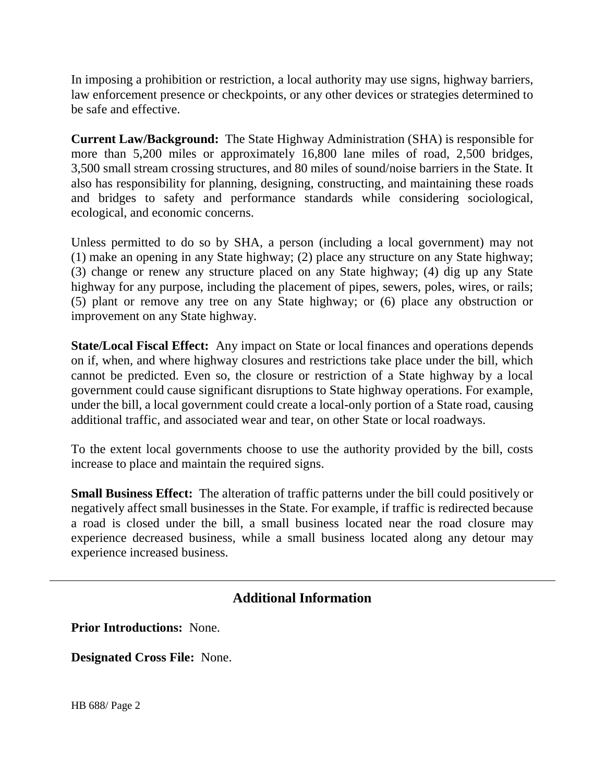In imposing a prohibition or restriction, a local authority may use signs, highway barriers, law enforcement presence or checkpoints, or any other devices or strategies determined to be safe and effective.

**Current Law/Background:** The State Highway Administration (SHA) is responsible for more than 5,200 miles or approximately 16,800 lane miles of road, 2,500 bridges, 3,500 small stream crossing structures, and 80 miles of sound/noise barriers in the State. It also has responsibility for planning, designing, constructing, and maintaining these roads and bridges to safety and performance standards while considering sociological, ecological, and economic concerns.

Unless permitted to do so by SHA, a person (including a local government) may not (1) make an opening in any State highway; (2) place any structure on any State highway; (3) change or renew any structure placed on any State highway; (4) dig up any State highway for any purpose, including the placement of pipes, sewers, poles, wires, or rails; (5) plant or remove any tree on any State highway; or (6) place any obstruction or improvement on any State highway.

**State/Local Fiscal Effect:** Any impact on State or local finances and operations depends on if, when, and where highway closures and restrictions take place under the bill, which cannot be predicted. Even so, the closure or restriction of a State highway by a local government could cause significant disruptions to State highway operations. For example, under the bill, a local government could create a local-only portion of a State road, causing additional traffic, and associated wear and tear, on other State or local roadways.

To the extent local governments choose to use the authority provided by the bill, costs increase to place and maintain the required signs.

**Small Business Effect:** The alteration of traffic patterns under the bill could positively or negatively affect small businesses in the State. For example, if traffic is redirected because a road is closed under the bill, a small business located near the road closure may experience decreased business, while a small business located along any detour may experience increased business.

## **Additional Information**

**Prior Introductions:** None.

**Designated Cross File:** None.